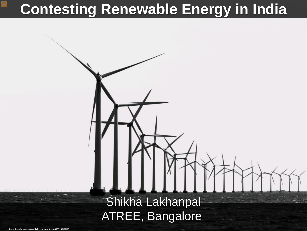### **Contesting Renewable Energy in India**

Shikha Lakhanpal ATREE, Bangalore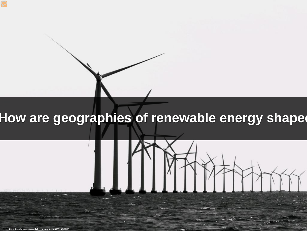

## **How are geographies of renewable energy shaped**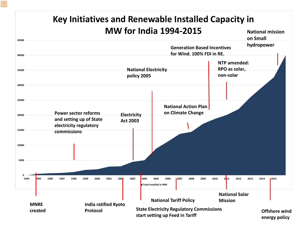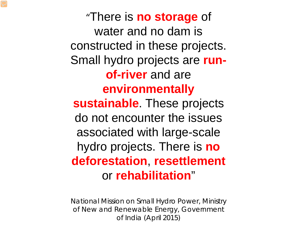"There is **no storage** of water and no dam is constructed in these projects. Small hydro projects are **runof-river** and are **environmentally sustainable**. These projects do not encounter the issues associated with large-scale hydro projects. There is **no deforestation**, **resettlement** or **rehabilitation**"

*National Mission on Small Hydro Power, Ministry of New and Renewable Energy, Government of India (April 2015)*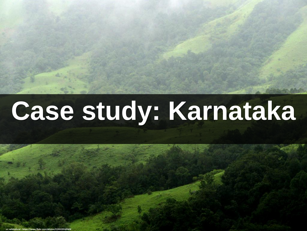# **Case study: Karnataka**

**cc: wildxplorer - https://www.flickr.com/photos/21932201@N04**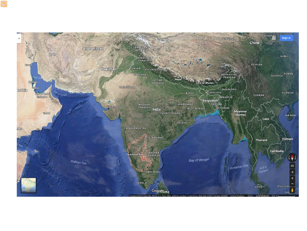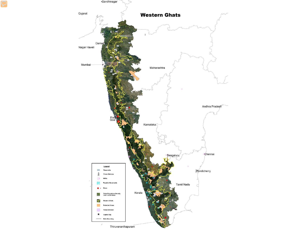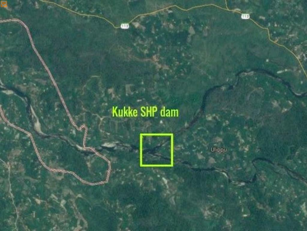# Kukke SHP dam



Ulippu

13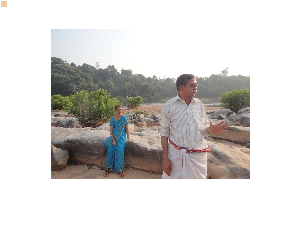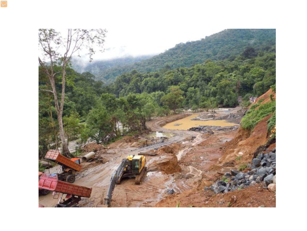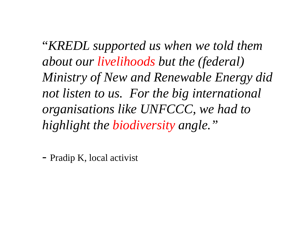"*KREDL supported us when we told them about our livelihoods but the (federal) Ministry of New and Renewable Energy did not listen to us. For the big international organisations like UNFCCC, we had to highlight the biodiversity angle."*

- Pradip K, local activist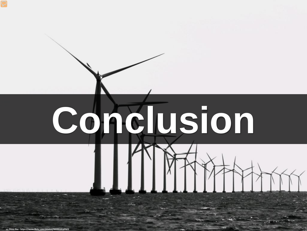